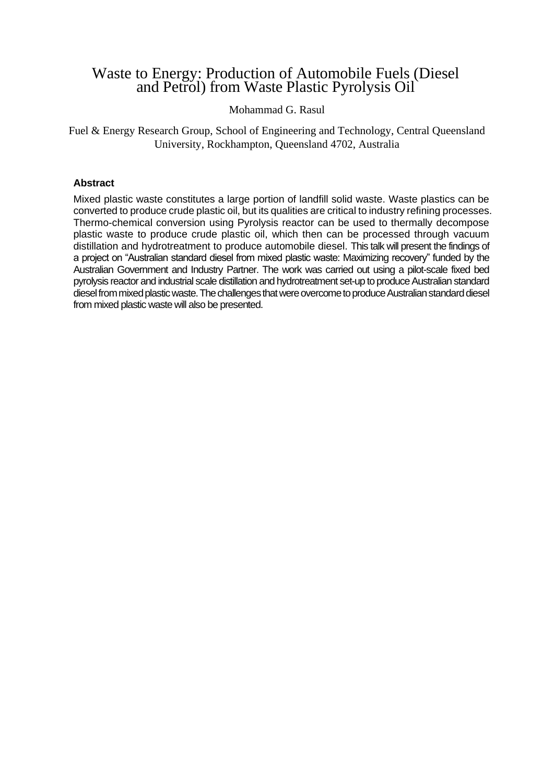## Waste to Energy: Production of Automobile Fuels (Diesel and Petrol) from Waste Plastic Pyrolysis Oil

## Mohammad G. Rasul

Fuel & Energy Research Group, School of Engineering and Technology, Central Queensland University, Rockhampton, Queensland 4702, Australia

## **Abstract**

Mixed plastic waste constitutes a large portion of landfill solid waste. Waste plastics can be converted to produce crude plastic oil, but its qualities are critical to industry refining processes. Thermo-chemical conversion using Pyrolysis reactor can be used to thermally decompose plastic waste to produce crude plastic oil, which then can be processed through vacuum distillation and hydrotreatment to produce automobile diesel. This talk will present the findings of a project on "Australian standard diesel from mixed plastic waste: Maximizing recovery" funded by the Australian Government and Industry Partner. The work was carried out using a pilot-scale fixed bed pyrolysis reactor and industrial scale distillation and hydrotreatment set-up to produce Australian standard diesel from mixed plastic waste. The challenges that were overcome to produce Australianstandard diesel from mixed plastic waste will also be presented.